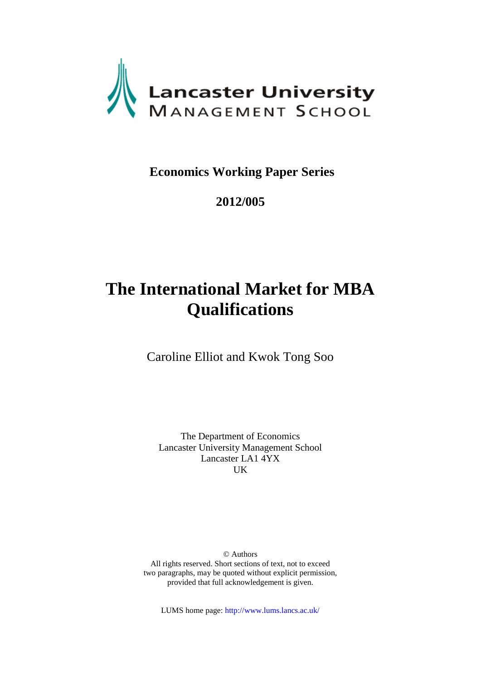

# **Economics Working Paper Series**

## **2012/005**

# **The International Market for MBA Qualifications**

Caroline Elliot and Kwok Tong Soo

The Department of Economics Lancaster University Management School Lancaster LA1 4YX UK

© Authors All rights reserved. Short sections of text, not to exceed two paragraphs, may be quoted without explicit permission, provided that full acknowledgement is given.

LUMS home page: http://www.lums.lancs.ac.uk/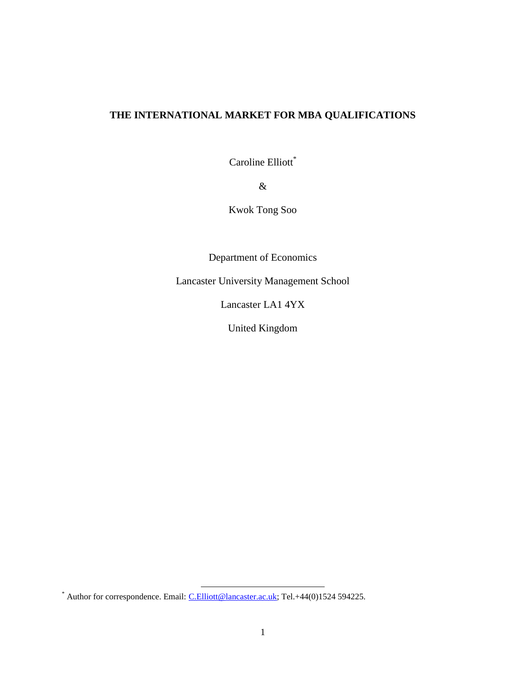## **THE INTERNATIONAL MARKET FOR MBA QUALIFICATIONS**

Caroline Elliott\*

&

Kwok Tong Soo

Department of Economics

Lancaster University Management School

Lancaster LA1 4YX

United Kingdom

l

<sup>\*</sup> Author for correspondence. Email: [C.Elliott@lancaster.ac.uk;](mailto:C.Elliott@lancaster.ac.uk) Tel.+44(0)1524 594225.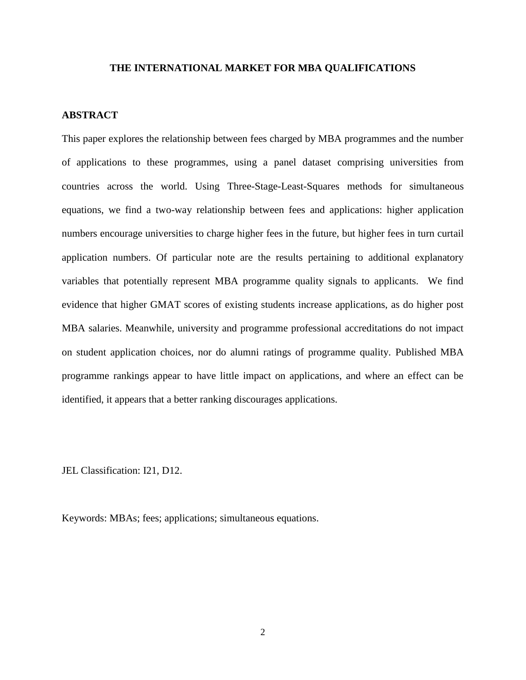#### **THE INTERNATIONAL MARKET FOR MBA QUALIFICATIONS**

## **ABSTRACT**

This paper explores the relationship between fees charged by MBA programmes and the number of applications to these programmes, using a panel dataset comprising universities from countries across the world. Using Three-Stage-Least-Squares methods for simultaneous equations, we find a two-way relationship between fees and applications: higher application numbers encourage universities to charge higher fees in the future, but higher fees in turn curtail application numbers. Of particular note are the results pertaining to additional explanatory variables that potentially represent MBA programme quality signals to applicants. We find evidence that higher GMAT scores of existing students increase applications, as do higher post MBA salaries. Meanwhile, university and programme professional accreditations do not impact on student application choices, nor do alumni ratings of programme quality. Published MBA programme rankings appear to have little impact on applications, and where an effect can be identified, it appears that a better ranking discourages applications.

JEL Classification: I21, D12.

Keywords: MBAs; fees; applications; simultaneous equations.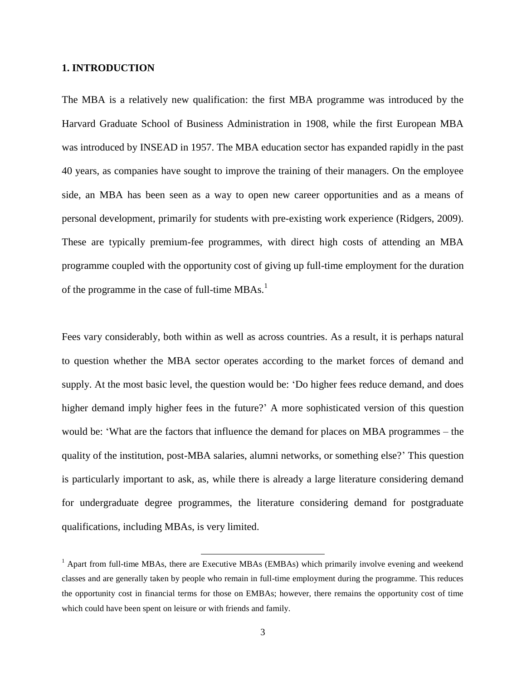#### **1. INTRODUCTION**

The MBA is a relatively new qualification: the first MBA programme was introduced by the Harvard Graduate School of Business Administration in 1908, while the first European MBA was introduced by INSEAD in 1957. The MBA education sector has expanded rapidly in the past 40 years, as companies have sought to improve the training of their managers. On the employee side, an MBA has been seen as a way to open new career opportunities and as a means of personal development, primarily for students with pre-existing work experience (Ridgers, 2009). These are typically premium-fee programmes, with direct high costs of attending an MBA programme coupled with the opportunity cost of giving up full-time employment for the duration of the programme in the case of full-time  $MBAs.<sup>1</sup>$ 

Fees vary considerably, both within as well as across countries. As a result, it is perhaps natural to question whether the MBA sector operates according to the market forces of demand and supply. At the most basic level, the question would be: 'Do higher fees reduce demand, and does higher demand imply higher fees in the future?' A more sophisticated version of this question would be: 'What are the factors that influence the demand for places on MBA programmes – the quality of the institution, post-MBA salaries, alumni networks, or something else?' This question is particularly important to ask, as, while there is already a large literature considering demand for undergraduate degree programmes, the literature considering demand for postgraduate qualifications, including MBAs, is very limited.

l

 $<sup>1</sup>$  Apart from full-time MBAs, there are Executive MBAs (EMBAs) which primarily involve evening and weekend</sup> classes and are generally taken by people who remain in full-time employment during the programme. This reduces the opportunity cost in financial terms for those on EMBAs; however, there remains the opportunity cost of time which could have been spent on leisure or with friends and family.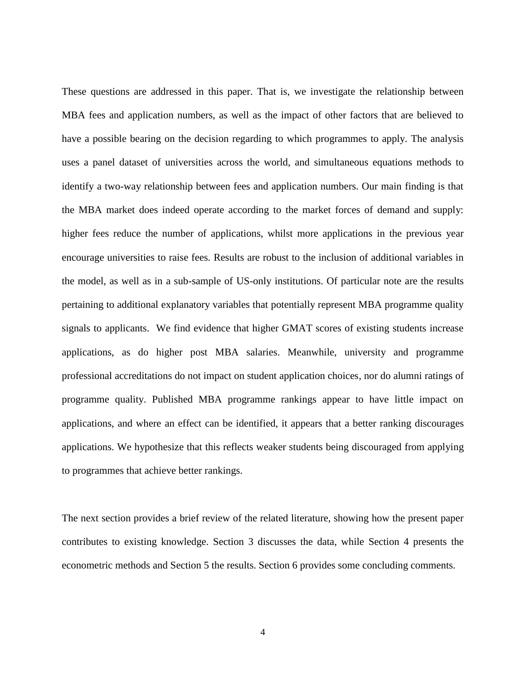These questions are addressed in this paper. That is, we investigate the relationship between MBA fees and application numbers, as well as the impact of other factors that are believed to have a possible bearing on the decision regarding to which programmes to apply. The analysis uses a panel dataset of universities across the world, and simultaneous equations methods to identify a two-way relationship between fees and application numbers. Our main finding is that the MBA market does indeed operate according to the market forces of demand and supply: higher fees reduce the number of applications, whilst more applications in the previous year encourage universities to raise fees. Results are robust to the inclusion of additional variables in the model, as well as in a sub-sample of US-only institutions. Of particular note are the results pertaining to additional explanatory variables that potentially represent MBA programme quality signals to applicants. We find evidence that higher GMAT scores of existing students increase applications, as do higher post MBA salaries. Meanwhile, university and programme professional accreditations do not impact on student application choices, nor do alumni ratings of programme quality. Published MBA programme rankings appear to have little impact on applications, and where an effect can be identified, it appears that a better ranking discourages applications. We hypothesize that this reflects weaker students being discouraged from applying to programmes that achieve better rankings.

The next section provides a brief review of the related literature, showing how the present paper contributes to existing knowledge. Section 3 discusses the data, while Section 4 presents the econometric methods and Section 5 the results. Section 6 provides some concluding comments.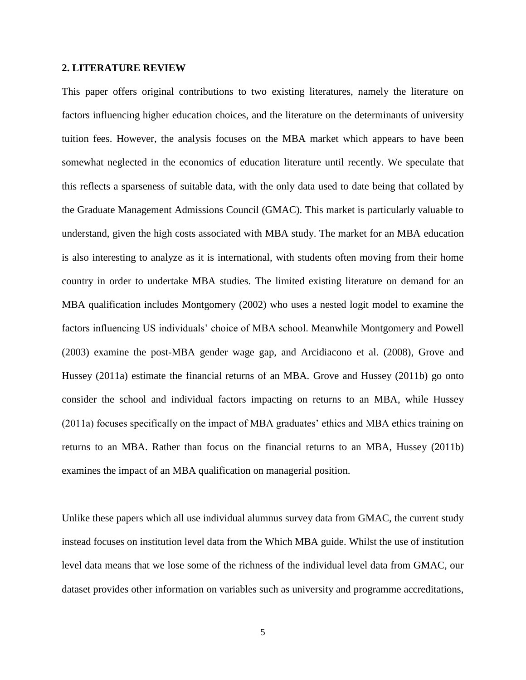#### **2. LITERATURE REVIEW**

This paper offers original contributions to two existing literatures, namely the literature on factors influencing higher education choices, and the literature on the determinants of university tuition fees. However, the analysis focuses on the MBA market which appears to have been somewhat neglected in the economics of education literature until recently. We speculate that this reflects a sparseness of suitable data, with the only data used to date being that collated by the Graduate Management Admissions Council (GMAC). This market is particularly valuable to understand, given the high costs associated with MBA study. The market for an MBA education is also interesting to analyze as it is international, with students often moving from their home country in order to undertake MBA studies. The limited existing literature on demand for an MBA qualification includes Montgomery (2002) who uses a nested logit model to examine the factors influencing US individuals' choice of MBA school. Meanwhile Montgomery and Powell (2003) examine the post-MBA gender wage gap, and Arcidiacono et al. (2008), Grove and Hussey (2011a) estimate the financial returns of an MBA. Grove and Hussey (2011b) go onto consider the school and individual factors impacting on returns to an MBA, while Hussey (2011a) focuses specifically on the impact of MBA graduates' ethics and MBA ethics training on returns to an MBA. Rather than focus on the financial returns to an MBA, Hussey (2011b) examines the impact of an MBA qualification on managerial position.

Unlike these papers which all use individual alumnus survey data from GMAC, the current study instead focuses on institution level data from the Which MBA guide. Whilst the use of institution level data means that we lose some of the richness of the individual level data from GMAC, our dataset provides other information on variables such as university and programme accreditations,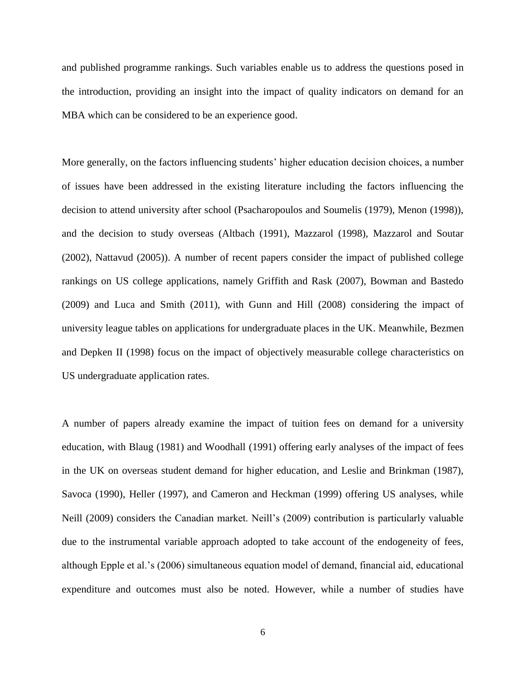and published programme rankings. Such variables enable us to address the questions posed in the introduction, providing an insight into the impact of quality indicators on demand for an MBA which can be considered to be an experience good.

More generally, on the factors influencing students' higher education decision choices, a number of issues have been addressed in the existing literature including the factors influencing the decision to attend university after school (Psacharopoulos and Soumelis (1979), Menon (1998)), and the decision to study overseas (Altbach (1991), Mazzarol (1998), Mazzarol and Soutar (2002), Nattavud (2005)). A number of recent papers consider the impact of published college rankings on US college applications, namely Griffith and Rask (2007), Bowman and Bastedo (2009) and Luca and Smith (2011), with Gunn and Hill (2008) considering the impact of university league tables on applications for undergraduate places in the UK. Meanwhile, Bezmen and Depken II (1998) focus on the impact of objectively measurable college characteristics on US undergraduate application rates.

A number of papers already examine the impact of tuition fees on demand for a university education, with Blaug (1981) and Woodhall (1991) offering early analyses of the impact of fees in the UK on overseas student demand for higher education, and Leslie and Brinkman (1987), Savoca (1990), Heller (1997), and Cameron and Heckman (1999) offering US analyses, while Neill (2009) considers the Canadian market. Neill's (2009) contribution is particularly valuable due to the instrumental variable approach adopted to take account of the endogeneity of fees, although Epple et al.'s (2006) simultaneous equation model of demand, financial aid, educational expenditure and outcomes must also be noted. However, while a number of studies have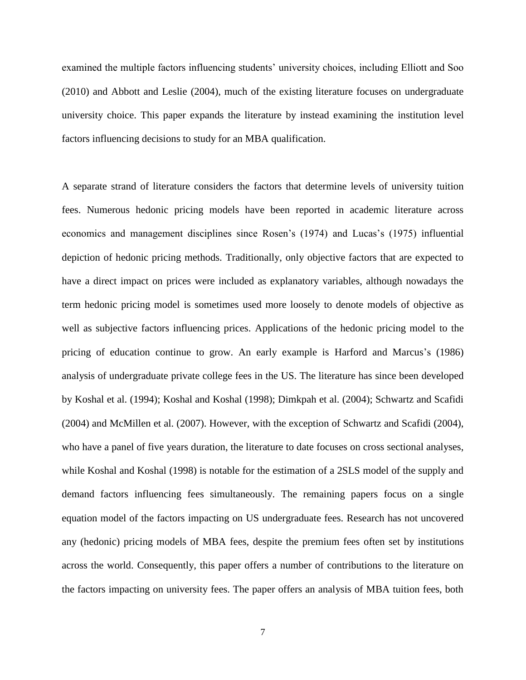examined the multiple factors influencing students' university choices, including Elliott and Soo (2010) and Abbott and Leslie (2004), much of the existing literature focuses on undergraduate university choice. This paper expands the literature by instead examining the institution level factors influencing decisions to study for an MBA qualification.

A separate strand of literature considers the factors that determine levels of university tuition fees. Numerous hedonic pricing models have been reported in academic literature across economics and management disciplines since Rosen's (1974) and Lucas's (1975) influential depiction of hedonic pricing methods. Traditionally, only objective factors that are expected to have a direct impact on prices were included as explanatory variables, although nowadays the term hedonic pricing model is sometimes used more loosely to denote models of objective as well as subjective factors influencing prices. Applications of the hedonic pricing model to the pricing of education continue to grow. An early example is Harford and Marcus's (1986) analysis of undergraduate private college fees in the US. The literature has since been developed by Koshal et al. (1994); Koshal and Koshal (1998); Dimkpah et al. (2004); Schwartz and Scafidi (2004) and McMillen et al. (2007). However, with the exception of Schwartz and Scafidi (2004), who have a panel of five years duration, the literature to date focuses on cross sectional analyses, while Koshal and Koshal (1998) is notable for the estimation of a 2SLS model of the supply and demand factors influencing fees simultaneously. The remaining papers focus on a single equation model of the factors impacting on US undergraduate fees. Research has not uncovered any (hedonic) pricing models of MBA fees, despite the premium fees often set by institutions across the world. Consequently, this paper offers a number of contributions to the literature on the factors impacting on university fees. The paper offers an analysis of MBA tuition fees, both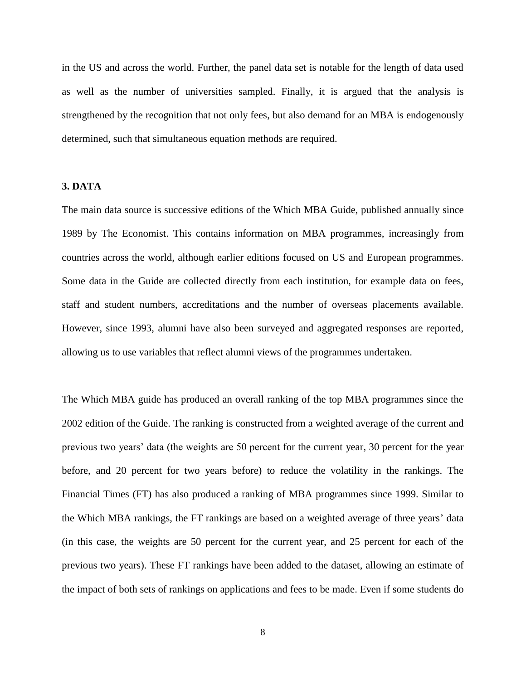in the US and across the world. Further, the panel data set is notable for the length of data used as well as the number of universities sampled. Finally, it is argued that the analysis is strengthened by the recognition that not only fees, but also demand for an MBA is endogenously determined, such that simultaneous equation methods are required.

#### **3. DATA**

The main data source is successive editions of the Which MBA Guide, published annually since 1989 by The Economist. This contains information on MBA programmes, increasingly from countries across the world, although earlier editions focused on US and European programmes. Some data in the Guide are collected directly from each institution, for example data on fees, staff and student numbers, accreditations and the number of overseas placements available. However, since 1993, alumni have also been surveyed and aggregated responses are reported, allowing us to use variables that reflect alumni views of the programmes undertaken.

The Which MBA guide has produced an overall ranking of the top MBA programmes since the 2002 edition of the Guide. The ranking is constructed from a weighted average of the current and previous two years' data (the weights are 50 percent for the current year, 30 percent for the year before, and 20 percent for two years before) to reduce the volatility in the rankings. The Financial Times (FT) has also produced a ranking of MBA programmes since 1999. Similar to the Which MBA rankings, the FT rankings are based on a weighted average of three years' data (in this case, the weights are 50 percent for the current year, and 25 percent for each of the previous two years). These FT rankings have been added to the dataset, allowing an estimate of the impact of both sets of rankings on applications and fees to be made. Even if some students do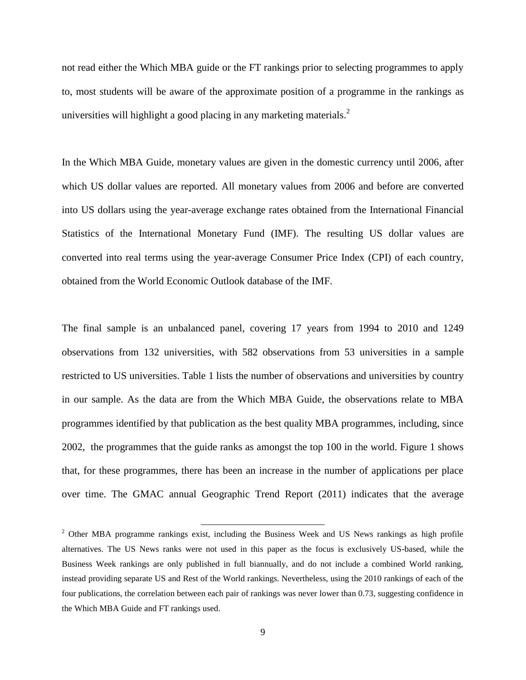not read either the Which MBA guide or the FT rankings prior to selecting programmes to apply to, most students will be aware of the approximate position of a programme in the rankings as universities will highlight a good placing in any marketing materials. $<sup>2</sup>$ </sup>

In the Which MBA Guide, monetary values are given in the domestic currency until 2006, after which US dollar values are reported. All monetary values from 2006 and before are converted into US dollars using the year-average exchange rates obtained from the International Financial Statistics of the International Monetary Fund (IMF). The resulting US dollar values are converted into real terms using the year-average Consumer Price Index (CPI) of each country, obtained from the World Economic Outlook database of the IMF.

The final sample is an unbalanced panel, covering 17 years from 1994 to 2010 and 1249 observations from 132 universities, with 582 observations from 53 universities in a sample restricted to US universities. Table 1 lists the number of observations and universities by country in our sample. As the data are from the Which MBA Guide, the observations relate to MBA programmes identified by that publication as the best quality MBA programmes, including, since 2002, the programmes that the guide ranks as amongst the top 100 in the world. Figure 1 shows that, for these programmes, there has been an increase in the number of applications per place over time. The GMAC annual Geographic Trend Report (2011) indicates that the average

 $\overline{\phantom{a}}$ 

 $2$  Other MBA programme rankings exist, including the Business Week and US News rankings as high profile alternatives. The US News ranks were not used in this paper as the focus is exclusively US-based, while the Business Week rankings are only published in full biannually, and do not include a combined World ranking, instead providing separate US and Rest of the World rankings. Nevertheless, using the 2010 rankings of each of the four publications, the correlation between each pair of rankings was never lower than 0.73, suggesting confidence in the Which MBA Guide and FT rankings used.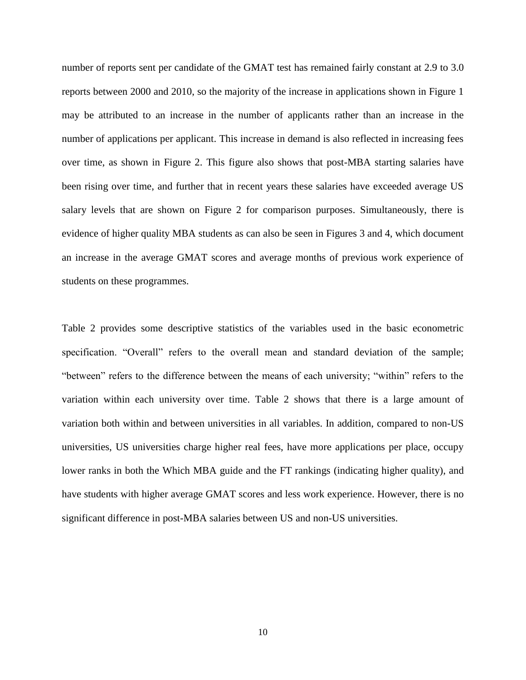number of reports sent per candidate of the GMAT test has remained fairly constant at 2.9 to 3.0 reports between 2000 and 2010, so the majority of the increase in applications shown in Figure 1 may be attributed to an increase in the number of applicants rather than an increase in the number of applications per applicant. This increase in demand is also reflected in increasing fees over time, as shown in Figure 2. This figure also shows that post-MBA starting salaries have been rising over time, and further that in recent years these salaries have exceeded average US salary levels that are shown on Figure 2 for comparison purposes. Simultaneously, there is evidence of higher quality MBA students as can also be seen in Figures 3 and 4, which document an increase in the average GMAT scores and average months of previous work experience of students on these programmes.

Table 2 provides some descriptive statistics of the variables used in the basic econometric specification. "Overall" refers to the overall mean and standard deviation of the sample; "between" refers to the difference between the means of each university; "within" refers to the variation within each university over time. Table 2 shows that there is a large amount of variation both within and between universities in all variables. In addition, compared to non-US universities, US universities charge higher real fees, have more applications per place, occupy lower ranks in both the Which MBA guide and the FT rankings (indicating higher quality), and have students with higher average GMAT scores and less work experience. However, there is no significant difference in post-MBA salaries between US and non-US universities.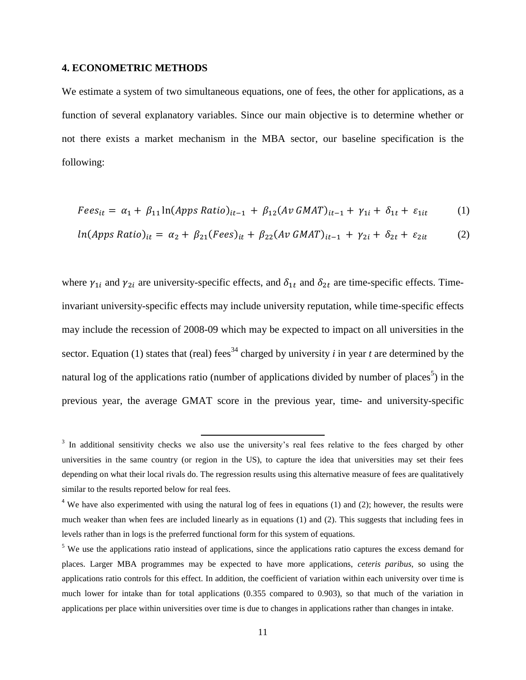### **4. ECONOMETRIC METHODS**

We estimate a system of two simultaneous equations, one of fees, the other for applications, as a function of several explanatory variables. Since our main objective is to determine whether or not there exists a market mechanism in the MBA sector, our baseline specification is the following:

$$
Fees_{it} = \alpha_1 + \beta_{11} \ln(Apps Ratio)_{it-1} + \beta_{12} (Av GMAT)_{it-1} + \gamma_{1i} + \delta_{1t} + \varepsilon_{1it} \tag{1}
$$

$$
ln(Apps Ratio)_{it} = \alpha_2 + \beta_{21} (Fees)_{it} + \beta_{22} (Av GMAT)_{it-1} + \gamma_{2i} + \delta_{2i} + \varepsilon_{2it}
$$
 (2)

where  $\gamma_{1i}$  and  $\gamma_{2i}$  are university-specific effects, and  $\delta_{1t}$  and  $\delta_{2t}$  are time-specific effects. Timeinvariant university-specific effects may include university reputation, while time-specific effects may include the recession of 2008-09 which may be expected to impact on all universities in the sector. Equation (1) states that (real) fees<sup>34</sup> charged by university *i* in year *t* are determined by the natural log of the applications ratio (number of applications divided by number of places<sup>5</sup>) in the previous year, the average GMAT score in the previous year, time- and university-specific

<sup>&</sup>lt;sup>3</sup> In additional sensitivity checks we also use the university's real fees relative to the fees charged by other universities in the same country (or region in the US), to capture the idea that universities may set their fees depending on what their local rivals do. The regression results using this alternative measure of fees are qualitatively similar to the results reported below for real fees.

 $4$  We have also experimented with using the natural log of fees in equations (1) and (2); however, the results were much weaker than when fees are included linearly as in equations (1) and (2). This suggests that including fees in levels rather than in logs is the preferred functional form for this system of equations.

<sup>&</sup>lt;sup>5</sup> We use the applications ratio instead of applications, since the applications ratio captures the excess demand for places. Larger MBA programmes may be expected to have more applications, *ceteris paribus*, so using the applications ratio controls for this effect. In addition, the coefficient of variation within each university over time is much lower for intake than for total applications (0.355 compared to 0.903), so that much of the variation in applications per place within universities over time is due to changes in applications rather than changes in intake.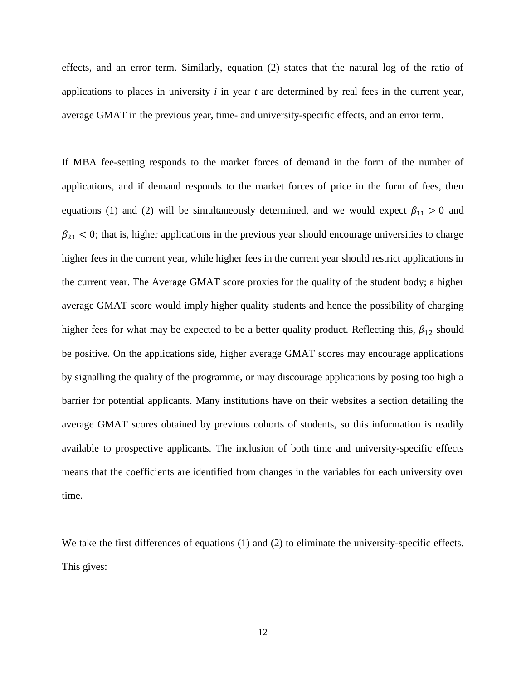effects, and an error term. Similarly, equation (2) states that the natural log of the ratio of applications to places in university *i* in year *t* are determined by real fees in the current year, average GMAT in the previous year, time- and university-specific effects, and an error term.

If MBA fee-setting responds to the market forces of demand in the form of the number of applications, and if demand responds to the market forces of price in the form of fees, then equations (1) and (2) will be simultaneously determined, and we would expect  $\beta_{11} > 0$  and  $\beta_{21}$  < 0; that is, higher applications in the previous year should encourage universities to charge higher fees in the current year, while higher fees in the current year should restrict applications in the current year. The Average GMAT score proxies for the quality of the student body; a higher average GMAT score would imply higher quality students and hence the possibility of charging higher fees for what may be expected to be a better quality product. Reflecting this,  $\beta_{12}$  should be positive. On the applications side, higher average GMAT scores may encourage applications by signalling the quality of the programme, or may discourage applications by posing too high a barrier for potential applicants. Many institutions have on their websites a section detailing the average GMAT scores obtained by previous cohorts of students, so this information is readily available to prospective applicants. The inclusion of both time and university-specific effects means that the coefficients are identified from changes in the variables for each university over time.

We take the first differences of equations (1) and (2) to eliminate the university-specific effects. This gives: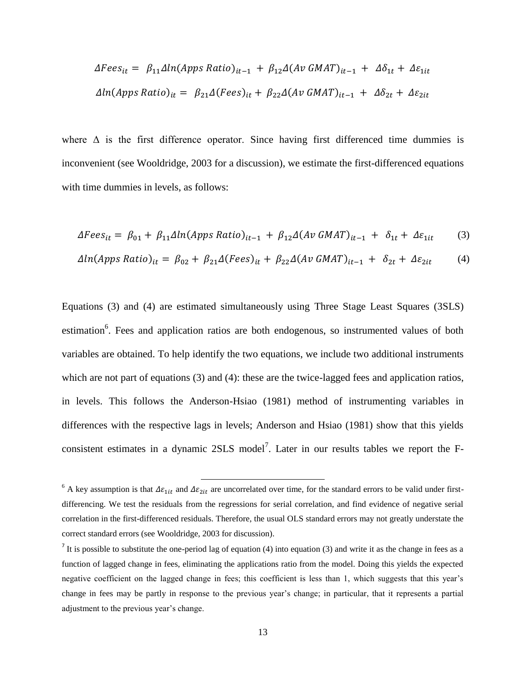$$
\Delta Fees_{it} = \beta_{11} \Delta ln(\text{Apps Ratio})_{it-1} + \beta_{12} \Delta(\text{Av GMAT})_{it-1} + \Delta \delta_{1t} + \Delta \varepsilon_{1it}
$$
\n
$$
\Delta ln(\text{Apps Ratio})_{it} = \beta_{21} \Delta(Fees)_{it} + \beta_{22} \Delta(\text{Av GMAT})_{it-1} + \Delta \delta_{2t} + \Delta \varepsilon_{2it}
$$

where  $\Delta$  is the first difference operator. Since having first differenced time dummies is inconvenient (see Wooldridge, 2003 for a discussion), we estimate the first-differenced equations with time dummies in levels, as follows:

$$
\Delta Fees_{it} = \beta_{01} + \beta_{11}\Delta ln(\text{Apps Ratio})_{it-1} + \beta_{12}\Delta(\text{Av GMAT})_{it-1} + \delta_{1t} + \Delta \varepsilon_{1it} \tag{3}
$$

$$
\Delta ln(Apps Ratio)_{it} = \beta_{02} + \beta_{21} \Delta(Fees)_{it} + \beta_{22} \Delta(Av GMAT)_{it-1} + \delta_{2t} + \Delta \varepsilon_{2it}
$$
 (4)

Equations (3) and (4) are estimated simultaneously using Three Stage Least Squares (3SLS) estimation<sup>6</sup>. Fees and application ratios are both endogenous, so instrumented values of both variables are obtained. To help identify the two equations, we include two additional instruments which are not part of equations (3) and (4): these are the twice-lagged fees and application ratios, in levels. This follows the Anderson-Hsiao (1981) method of instrumenting variables in differences with the respective lags in levels; Anderson and Hsiao (1981) show that this yields consistent estimates in a dynamic 2SLS model<sup>7</sup>. Later in our results tables we report the F-

 $\overline{\phantom{a}}$ 

<sup>&</sup>lt;sup>6</sup> A key assumption is that  $\Delta \varepsilon_{1it}$  and  $\Delta \varepsilon_{2it}$  are uncorrelated over time, for the standard errors to be valid under firstdifferencing. We test the residuals from the regressions for serial correlation, and find evidence of negative serial correlation in the first-differenced residuals. Therefore, the usual OLS standard errors may not greatly understate the correct standard errors (see Wooldridge, 2003 for discussion).

It is possible to substitute the one-period lag of equation (4) into equation (3) and write it as the change in fees as a function of lagged change in fees, eliminating the applications ratio from the model. Doing this yields the expected negative coefficient on the lagged change in fees; this coefficient is less than 1, which suggests that this year's change in fees may be partly in response to the previous year's change; in particular, that it represents a partial adjustment to the previous year's change.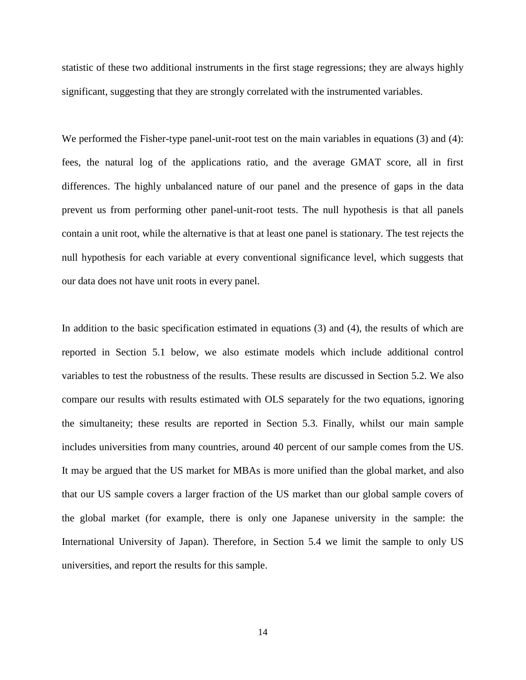statistic of these two additional instruments in the first stage regressions; they are always highly significant, suggesting that they are strongly correlated with the instrumented variables.

We performed the Fisher-type panel-unit-root test on the main variables in equations (3) and (4): fees, the natural log of the applications ratio, and the average GMAT score, all in first differences. The highly unbalanced nature of our panel and the presence of gaps in the data prevent us from performing other panel-unit-root tests. The null hypothesis is that all panels contain a unit root, while the alternative is that at least one panel is stationary. The test rejects the null hypothesis for each variable at every conventional significance level, which suggests that our data does not have unit roots in every panel.

In addition to the basic specification estimated in equations (3) and (4), the results of which are reported in Section 5.1 below, we also estimate models which include additional control variables to test the robustness of the results. These results are discussed in Section 5.2. We also compare our results with results estimated with OLS separately for the two equations, ignoring the simultaneity; these results are reported in Section 5.3. Finally, whilst our main sample includes universities from many countries, around 40 percent of our sample comes from the US. It may be argued that the US market for MBAs is more unified than the global market, and also that our US sample covers a larger fraction of the US market than our global sample covers of the global market (for example, there is only one Japanese university in the sample: the International University of Japan). Therefore, in Section 5.4 we limit the sample to only US universities, and report the results for this sample.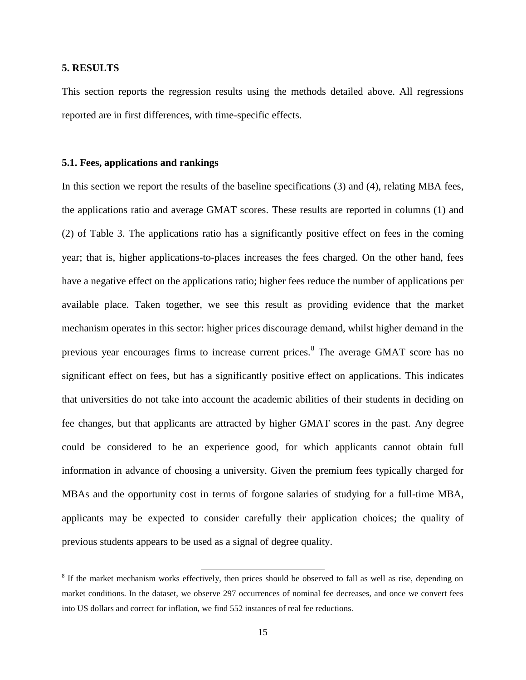#### **5. RESULTS**

This section reports the regression results using the methods detailed above. All regressions reported are in first differences, with time-specific effects.

#### **5.1. Fees, applications and rankings**

In this section we report the results of the baseline specifications (3) and (4), relating MBA fees, the applications ratio and average GMAT scores. These results are reported in columns (1) and (2) of Table 3. The applications ratio has a significantly positive effect on fees in the coming year; that is, higher applications-to-places increases the fees charged. On the other hand, fees have a negative effect on the applications ratio; higher fees reduce the number of applications per available place. Taken together, we see this result as providing evidence that the market mechanism operates in this sector: higher prices discourage demand, whilst higher demand in the previous year encourages firms to increase current prices.<sup>8</sup> The average GMAT score has no significant effect on fees, but has a significantly positive effect on applications. This indicates that universities do not take into account the academic abilities of their students in deciding on fee changes, but that applicants are attracted by higher GMAT scores in the past. Any degree could be considered to be an experience good, for which applicants cannot obtain full information in advance of choosing a university. Given the premium fees typically charged for MBAs and the opportunity cost in terms of forgone salaries of studying for a full-time MBA, applicants may be expected to consider carefully their application choices; the quality of previous students appears to be used as a signal of degree quality.

l

<sup>&</sup>lt;sup>8</sup> If the market mechanism works effectively, then prices should be observed to fall as well as rise, depending on market conditions. In the dataset, we observe 297 occurrences of nominal fee decreases, and once we convert fees into US dollars and correct for inflation, we find 552 instances of real fee reductions.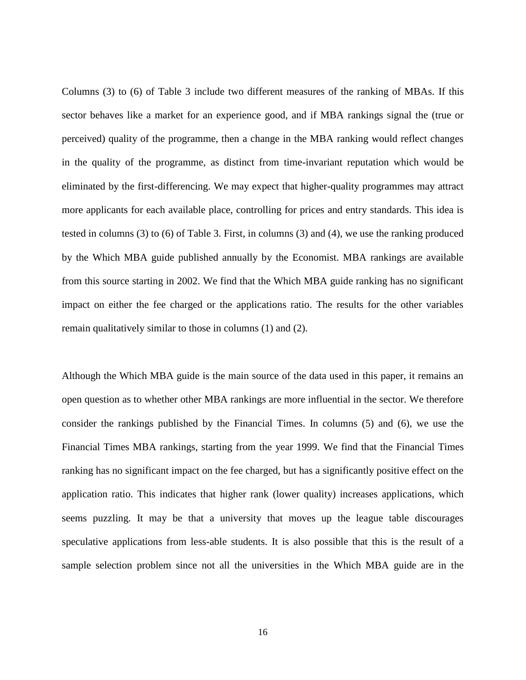Columns (3) to (6) of Table 3 include two different measures of the ranking of MBAs. If this sector behaves like a market for an experience good, and if MBA rankings signal the (true or perceived) quality of the programme, then a change in the MBA ranking would reflect changes in the quality of the programme, as distinct from time-invariant reputation which would be eliminated by the first-differencing. We may expect that higher-quality programmes may attract more applicants for each available place, controlling for prices and entry standards. This idea is tested in columns (3) to (6) of Table 3. First, in columns (3) and (4), we use the ranking produced by the Which MBA guide published annually by the Economist. MBA rankings are available from this source starting in 2002. We find that the Which MBA guide ranking has no significant impact on either the fee charged or the applications ratio. The results for the other variables remain qualitatively similar to those in columns (1) and (2).

Although the Which MBA guide is the main source of the data used in this paper, it remains an open question as to whether other MBA rankings are more influential in the sector. We therefore consider the rankings published by the Financial Times. In columns (5) and (6), we use the Financial Times MBA rankings, starting from the year 1999. We find that the Financial Times ranking has no significant impact on the fee charged, but has a significantly positive effect on the application ratio. This indicates that higher rank (lower quality) increases applications, which seems puzzling. It may be that a university that moves up the league table discourages speculative applications from less-able students. It is also possible that this is the result of a sample selection problem since not all the universities in the Which MBA guide are in the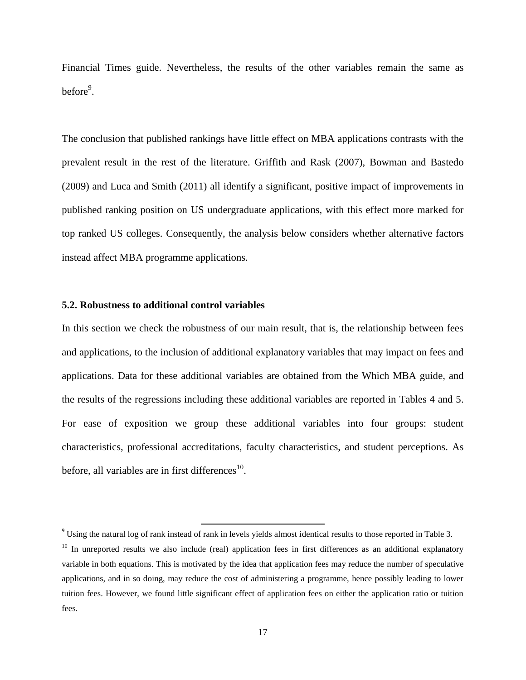Financial Times guide. Nevertheless, the results of the other variables remain the same as before<sup>9</sup>.

The conclusion that published rankings have little effect on MBA applications contrasts with the prevalent result in the rest of the literature. Griffith and Rask (2007), Bowman and Bastedo (2009) and Luca and Smith (2011) all identify a significant, positive impact of improvements in published ranking position on US undergraduate applications, with this effect more marked for top ranked US colleges. Consequently, the analysis below considers whether alternative factors instead affect MBA programme applications.

#### **5.2. Robustness to additional control variables**

In this section we check the robustness of our main result, that is, the relationship between fees and applications, to the inclusion of additional explanatory variables that may impact on fees and applications. Data for these additional variables are obtained from the Which MBA guide, and the results of the regressions including these additional variables are reported in Tables 4 and 5. For ease of exposition we group these additional variables into four groups: student characteristics, professional accreditations, faculty characteristics, and student perceptions. As before, all variables are in first differences $^{10}$ .

 $\overline{\phantom{a}}$ 

 $9$  Using the natural log of rank instead of rank in levels yields almost identical results to those reported in Table 3.

 $10$  In unreported results we also include (real) application fees in first differences as an additional explanatory variable in both equations. This is motivated by the idea that application fees may reduce the number of speculative applications, and in so doing, may reduce the cost of administering a programme, hence possibly leading to lower tuition fees. However, we found little significant effect of application fees on either the application ratio or tuition fees.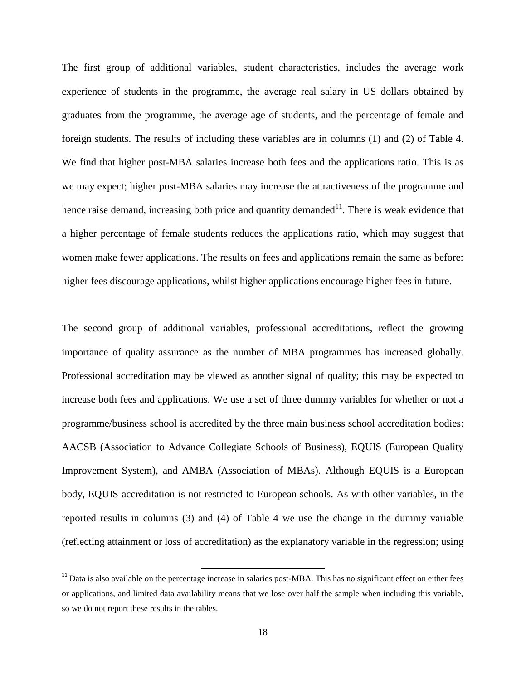The first group of additional variables, student characteristics, includes the average work experience of students in the programme, the average real salary in US dollars obtained by graduates from the programme, the average age of students, and the percentage of female and foreign students. The results of including these variables are in columns (1) and (2) of Table 4. We find that higher post-MBA salaries increase both fees and the applications ratio. This is as we may expect; higher post-MBA salaries may increase the attractiveness of the programme and hence raise demand, increasing both price and quantity demanded<sup>11</sup>. There is weak evidence that a higher percentage of female students reduces the applications ratio, which may suggest that women make fewer applications. The results on fees and applications remain the same as before: higher fees discourage applications, whilst higher applications encourage higher fees in future.

The second group of additional variables, professional accreditations, reflect the growing importance of quality assurance as the number of MBA programmes has increased globally. Professional accreditation may be viewed as another signal of quality; this may be expected to increase both fees and applications. We use a set of three dummy variables for whether or not a programme/business school is accredited by the three main business school accreditation bodies: AACSB (Association to Advance Collegiate Schools of Business), EQUIS (European Quality Improvement System), and AMBA (Association of MBAs). Although EQUIS is a European body, EQUIS accreditation is not restricted to European schools. As with other variables, in the reported results in columns (3) and (4) of Table 4 we use the change in the dummy variable (reflecting attainment or loss of accreditation) as the explanatory variable in the regression; using

 $\overline{\phantom{a}}$ 

 $11$  Data is also available on the percentage increase in salaries post-MBA. This has no significant effect on either fees or applications, and limited data availability means that we lose over half the sample when including this variable, so we do not report these results in the tables.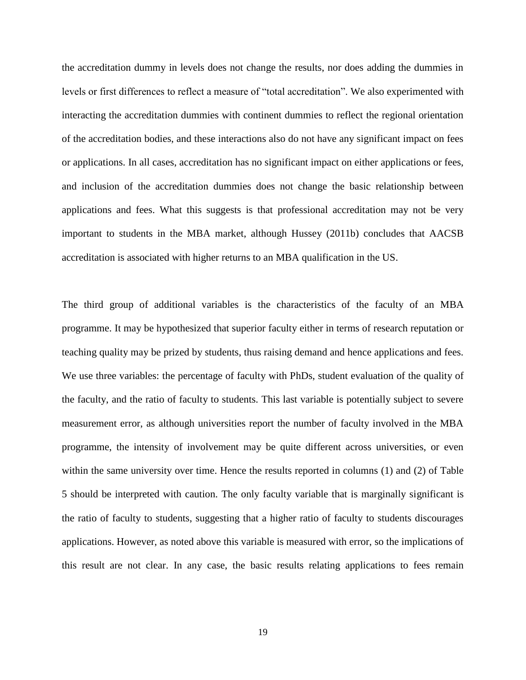the accreditation dummy in levels does not change the results, nor does adding the dummies in levels or first differences to reflect a measure of "total accreditation". We also experimented with interacting the accreditation dummies with continent dummies to reflect the regional orientation of the accreditation bodies, and these interactions also do not have any significant impact on fees or applications. In all cases, accreditation has no significant impact on either applications or fees, and inclusion of the accreditation dummies does not change the basic relationship between applications and fees. What this suggests is that professional accreditation may not be very important to students in the MBA market, although Hussey (2011b) concludes that AACSB accreditation is associated with higher returns to an MBA qualification in the US.

The third group of additional variables is the characteristics of the faculty of an MBA programme. It may be hypothesized that superior faculty either in terms of research reputation or teaching quality may be prized by students, thus raising demand and hence applications and fees. We use three variables: the percentage of faculty with PhDs, student evaluation of the quality of the faculty, and the ratio of faculty to students. This last variable is potentially subject to severe measurement error, as although universities report the number of faculty involved in the MBA programme, the intensity of involvement may be quite different across universities, or even within the same university over time. Hence the results reported in columns (1) and (2) of Table 5 should be interpreted with caution. The only faculty variable that is marginally significant is the ratio of faculty to students, suggesting that a higher ratio of faculty to students discourages applications. However, as noted above this variable is measured with error, so the implications of this result are not clear. In any case, the basic results relating applications to fees remain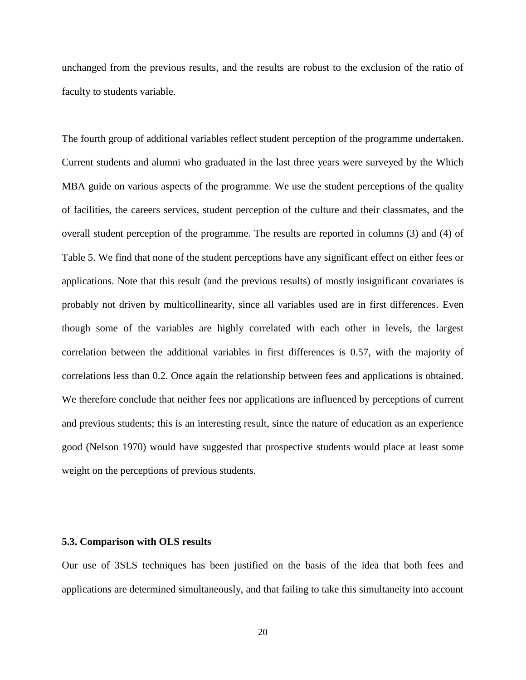unchanged from the previous results, and the results are robust to the exclusion of the ratio of faculty to students variable.

The fourth group of additional variables reflect student perception of the programme undertaken. Current students and alumni who graduated in the last three years were surveyed by the Which MBA guide on various aspects of the programme. We use the student perceptions of the quality of facilities, the careers services, student perception of the culture and their classmates, and the overall student perception of the programme. The results are reported in columns (3) and (4) of Table 5. We find that none of the student perceptions have any significant effect on either fees or applications. Note that this result (and the previous results) of mostly insignificant covariates is probably not driven by multicollinearity, since all variables used are in first differences. Even though some of the variables are highly correlated with each other in levels, the largest correlation between the additional variables in first differences is 0.57, with the majority of correlations less than 0.2. Once again the relationship between fees and applications is obtained. We therefore conclude that neither fees nor applications are influenced by perceptions of current and previous students; this is an interesting result, since the nature of education as an experience good (Nelson 1970) would have suggested that prospective students would place at least some weight on the perceptions of previous students.

#### **5.3. Comparison with OLS results**

Our use of 3SLS techniques has been justified on the basis of the idea that both fees and applications are determined simultaneously, and that failing to take this simultaneity into account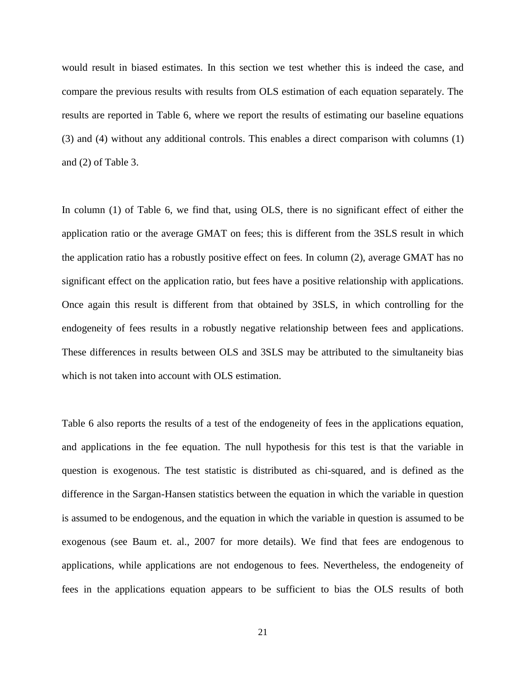would result in biased estimates. In this section we test whether this is indeed the case, and compare the previous results with results from OLS estimation of each equation separately. The results are reported in Table 6, where we report the results of estimating our baseline equations (3) and (4) without any additional controls. This enables a direct comparison with columns (1) and (2) of Table 3.

In column (1) of Table 6, we find that, using OLS, there is no significant effect of either the application ratio or the average GMAT on fees; this is different from the 3SLS result in which the application ratio has a robustly positive effect on fees. In column (2), average GMAT has no significant effect on the application ratio, but fees have a positive relationship with applications. Once again this result is different from that obtained by 3SLS, in which controlling for the endogeneity of fees results in a robustly negative relationship between fees and applications. These differences in results between OLS and 3SLS may be attributed to the simultaneity bias which is not taken into account with OLS estimation.

Table 6 also reports the results of a test of the endogeneity of fees in the applications equation, and applications in the fee equation. The null hypothesis for this test is that the variable in question is exogenous. The test statistic is distributed as chi-squared, and is defined as the difference in the Sargan-Hansen statistics between the equation in which the variable in question is assumed to be endogenous, and the equation in which the variable in question is assumed to be exogenous (see Baum et. al., 2007 for more details). We find that fees are endogenous to applications, while applications are not endogenous to fees. Nevertheless, the endogeneity of fees in the applications equation appears to be sufficient to bias the OLS results of both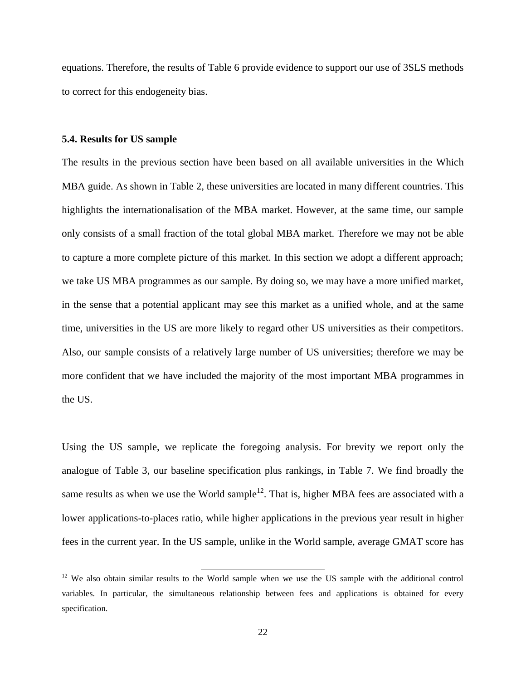equations. Therefore, the results of Table 6 provide evidence to support our use of 3SLS methods to correct for this endogeneity bias.

#### **5.4. Results for US sample**

The results in the previous section have been based on all available universities in the Which MBA guide. As shown in Table 2, these universities are located in many different countries. This highlights the internationalisation of the MBA market. However, at the same time, our sample only consists of a small fraction of the total global MBA market. Therefore we may not be able to capture a more complete picture of this market. In this section we adopt a different approach; we take US MBA programmes as our sample. By doing so, we may have a more unified market, in the sense that a potential applicant may see this market as a unified whole, and at the same time, universities in the US are more likely to regard other US universities as their competitors. Also, our sample consists of a relatively large number of US universities; therefore we may be more confident that we have included the majority of the most important MBA programmes in the US.

Using the US sample, we replicate the foregoing analysis. For brevity we report only the analogue of Table 3, our baseline specification plus rankings, in Table 7. We find broadly the same results as when we use the World sample<sup>12</sup>. That is, higher MBA fees are associated with a lower applications-to-places ratio, while higher applications in the previous year result in higher fees in the current year. In the US sample, unlike in the World sample, average GMAT score has

l

 $12$  We also obtain similar results to the World sample when we use the US sample with the additional control variables. In particular, the simultaneous relationship between fees and applications is obtained for every specification.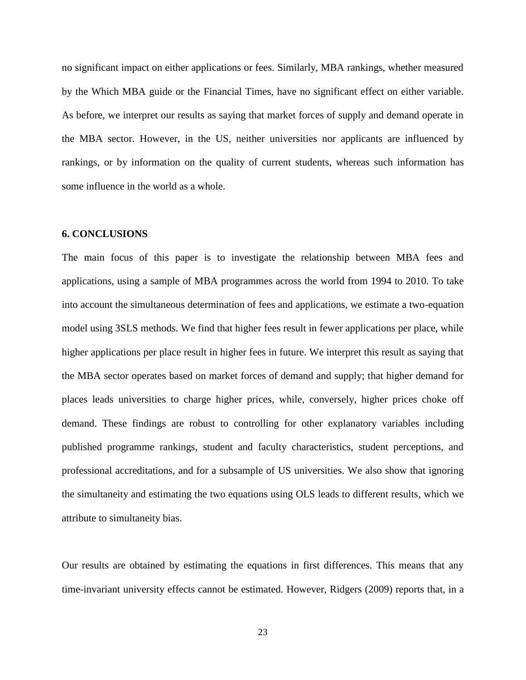no significant impact on either applications or fees. Similarly, MBA rankings, whether measured by the Which MBA guide or the Financial Times, have no significant effect on either variable. As before, we interpret our results as saying that market forces of supply and demand operate in the MBA sector. However, in the US, neither universities nor applicants are influenced by rankings, or by information on the quality of current students, whereas such information has some influence in the world as a whole.

#### **6. CONCLUSIONS**

The main focus of this paper is to investigate the relationship between MBA fees and applications, using a sample of MBA programmes across the world from 1994 to 2010. To take into account the simultaneous determination of fees and applications, we estimate a two-equation model using 3SLS methods. We find that higher fees result in fewer applications per place, while higher applications per place result in higher fees in future. We interpret this result as saying that the MBA sector operates based on market forces of demand and supply; that higher demand for places leads universities to charge higher prices, while, conversely, higher prices choke off demand. These findings are robust to controlling for other explanatory variables including published programme rankings, student and faculty characteristics, student perceptions, and professional accreditations, and for a subsample of US universities. We also show that ignoring the simultaneity and estimating the two equations using OLS leads to different results, which we attribute to simultaneity bias.

Our results are obtained by estimating the equations in first differences. This means that any time-invariant university effects cannot be estimated. However, Ridgers (2009) reports that, in a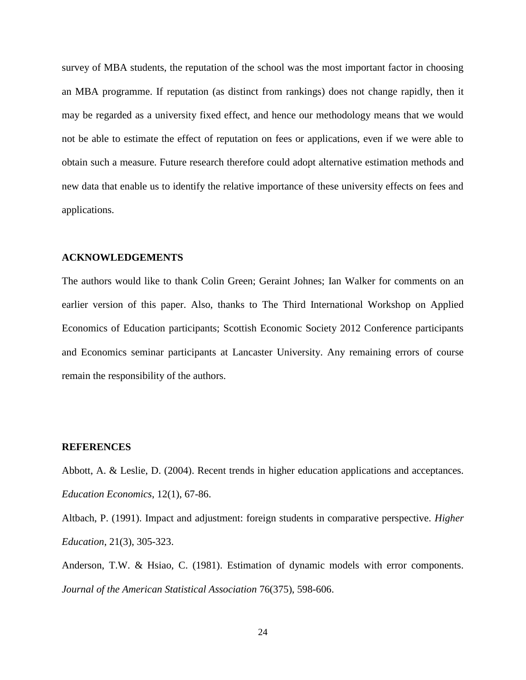survey of MBA students, the reputation of the school was the most important factor in choosing an MBA programme. If reputation (as distinct from rankings) does not change rapidly, then it may be regarded as a university fixed effect, and hence our methodology means that we would not be able to estimate the effect of reputation on fees or applications, even if we were able to obtain such a measure. Future research therefore could adopt alternative estimation methods and new data that enable us to identify the relative importance of these university effects on fees and applications.

#### **ACKNOWLEDGEMENTS**

The authors would like to thank Colin Green; Geraint Johnes; Ian Walker for comments on an earlier version of this paper. Also, thanks to The Third International Workshop on Applied Economics of Education participants; Scottish Economic Society 2012 Conference participants and Economics seminar participants at Lancaster University. Any remaining errors of course remain the responsibility of the authors.

#### **REFERENCES**

Abbott, A. & Leslie, D. (2004). Recent trends in higher education applications and acceptances. *Education Economics*, 12(1), 67-86.

Altbach, P. (1991). Impact and adjustment: foreign students in comparative perspective. *Higher Education*, 21(3), 305-323.

Anderson, T.W. & Hsiao, C. (1981). Estimation of dynamic models with error components. *Journal of the American Statistical Association* 76(375), 598-606.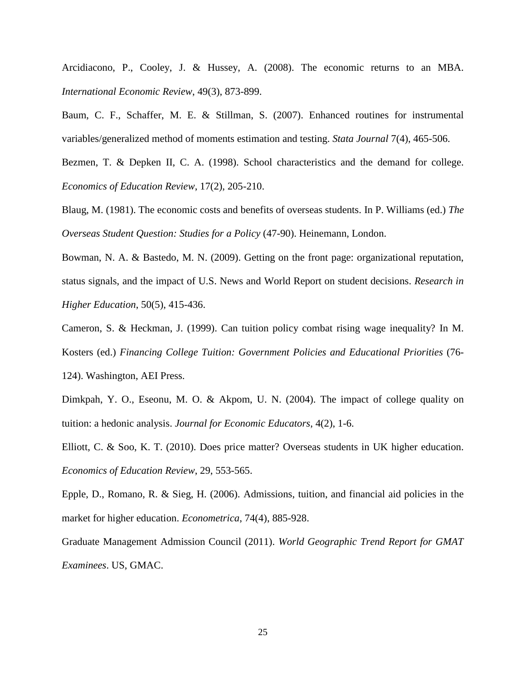Arcidiacono, P., Cooley, J. & Hussey, A. (2008). The economic returns to an MBA. *International Economic Review*, 49(3), 873-899.

Baum, C. F., Schaffer, M. E. & Stillman, S. (2007). Enhanced routines for instrumental variables/generalized method of moments estimation and testing. *Stata Journal* 7(4), 465-506.

Bezmen, T. & Depken II, C. A. (1998). School characteristics and the demand for college. *Economics of Education Review*, 17(2), 205-210.

Blaug, M. (1981). The economic costs and benefits of overseas students. In P. Williams (ed.) *The Overseas Student Question: Studies for a Policy* (47-90). Heinemann, London.

Bowman, N. A. & Bastedo, M. N. (2009). Getting on the front page: organizational reputation, status signals, and the impact of U.S. News and World Report on student decisions. *Research in Higher Education*, 50(5), 415-436.

Cameron, S. & Heckman, J. (1999). Can tuition policy combat rising wage inequality? In M. Kosters (ed.) *Financing College Tuition: Government Policies and Educational Priorities* (76- 124). Washington, AEI Press.

Dimkpah, Y. O., Eseonu, M. O. & Akpom, U. N. (2004). The impact of college quality on tuition: a hedonic analysis. *Journal for Economic Educators*, 4(2), 1-6.

Elliott, C. & Soo, K. T. (2010). Does price matter? Overseas students in UK higher education. *Economics of Education Review*, 29, 553-565.

Epple, D., Romano, R. & Sieg, H. (2006). Admissions, tuition, and financial aid policies in the market for higher education. *Econometrica*, 74(4), 885-928.

Graduate Management Admission Council (2011). *World Geographic Trend Report for GMAT Examinees*. US, GMAC.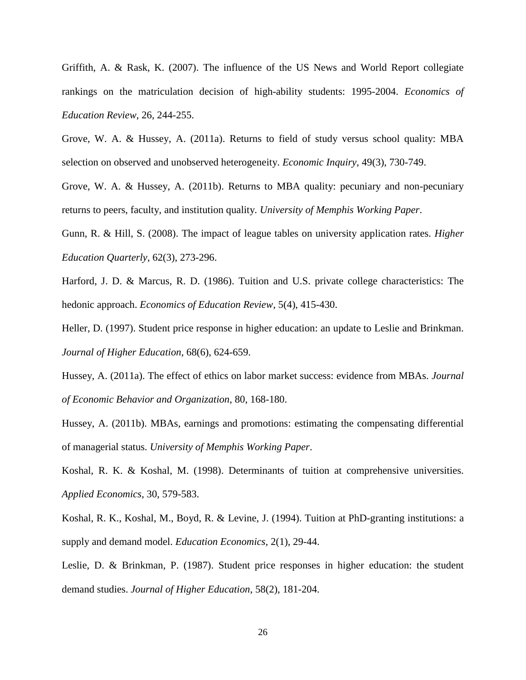Griffith, A. & Rask, K. (2007). The influence of the US News and World Report collegiate rankings on the matriculation decision of high-ability students: 1995-2004. *Economics of Education Review*, 26, 244-255.

Grove, W. A. & Hussey, A. (2011a). Returns to field of study versus school quality: MBA selection on observed and unobserved heterogeneity. *Economic Inquiry*, 49(3), 730-749.

Grove, W. A. & Hussey, A. (2011b). Returns to MBA quality: pecuniary and non-pecuniary returns to peers, faculty, and institution quality. *University of Memphis Working Paper*.

Gunn, R. & Hill, S. (2008). The impact of league tables on university application rates. *Higher Education Quarterly*, 62(3), 273-296.

Harford, J. D. & Marcus, R. D. (1986). Tuition and U.S. private college characteristics: The hedonic approach. *Economics of Education Review*, 5(4), 415-430.

Heller, D. (1997). Student price response in higher education: an update to Leslie and Brinkman. *Journal of Higher Education*, 68(6), 624-659.

Hussey, A. (2011a). The effect of ethics on labor market success: evidence from MBAs. *Journal of Economic Behavior and Organization*, 80, 168-180.

Hussey, A. (2011b). MBAs, earnings and promotions: estimating the compensating differential of managerial status. *University of Memphis Working Paper*.

Koshal, R. K. & Koshal, M. (1998). Determinants of tuition at comprehensive universities. *Applied Economics*, 30, 579-583.

Koshal, R. K., Koshal, M., Boyd, R. & Levine, J. (1994). Tuition at PhD-granting institutions: a supply and demand model. *Education Economics*, 2(1), 29-44.

Leslie, D. & Brinkman, P. (1987). Student price responses in higher education: the student demand studies. *Journal of Higher Education*, 58(2), 181-204.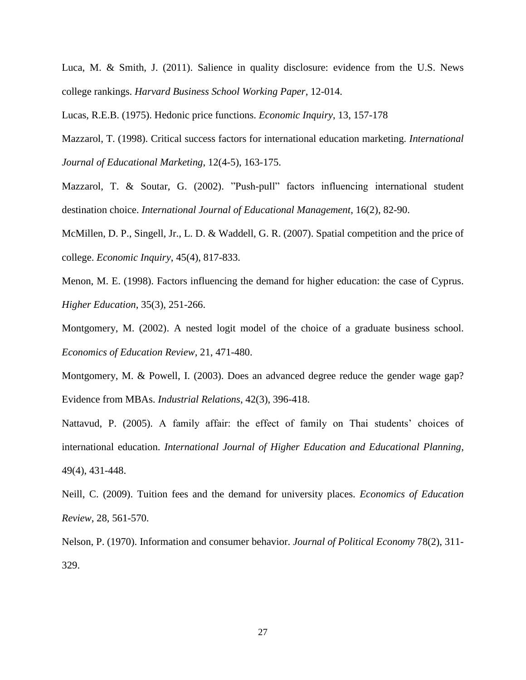Luca, M. & Smith, J. (2011). Salience in quality disclosure: evidence from the U.S. News college rankings. *Harvard Business School Working Paper*, 12-014.

Lucas, R.E.B. (1975). Hedonic price functions. *Economic Inquiry*, 13, 157-178

Mazzarol, T. (1998). Critical success factors for international education marketing. *International Journal of Educational Marketing*, 12(4-5), 163-175.

Mazzarol, T. & Soutar, G. (2002). "Push-pull" factors influencing international student destination choice. *International Journal of Educational Management*, 16(2), 82-90.

McMillen, D. P., Singell, Jr., L. D. & Waddell, G. R. (2007). Spatial competition and the price of college. *Economic Inquiry*, 45(4), 817-833.

Menon, M. E. (1998). Factors influencing the demand for higher education: the case of Cyprus. *Higher Education*, 35(3), 251-266.

Montgomery, M. (2002). A nested logit model of the choice of a graduate business school. *Economics of Education Review*, 21, 471-480.

Montgomery, M. & Powell, I. (2003). Does an advanced degree reduce the gender wage gap? Evidence from MBAs. *Industrial Relations*, 42(3), 396-418.

Nattavud, P. (2005). A family affair: the effect of family on Thai students' choices of international education. *International Journal of Higher Education and Educational Planning*, 49(4), 431-448.

Neill, C. (2009). Tuition fees and the demand for university places. *Economics of Education Review*, 28, 561-570.

Nelson, P. (1970). Information and consumer behavior. *Journal of Political Economy* 78(2), 311- 329.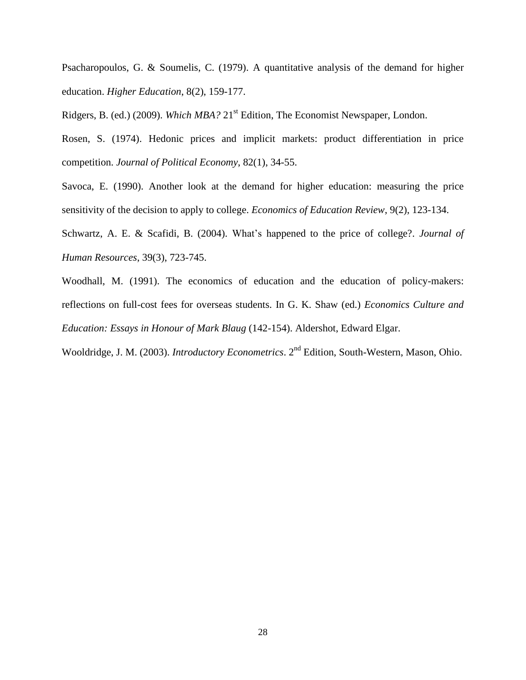Psacharopoulos, G. & Soumelis, C. (1979). A quantitative analysis of the demand for higher education. *Higher Education*, 8(2), 159-177.

Ridgers, B. (ed.) (2009). *Which MBA?* 21<sup>st</sup> Edition, The Economist Newspaper, London.

Rosen, S. (1974). Hedonic prices and implicit markets: product differentiation in price competition. *Journal of Political Economy*, 82(1), 34-55.

Savoca, E. (1990). Another look at the demand for higher education: measuring the price sensitivity of the decision to apply to college. *Economics of Education Review*, 9(2), 123-134.

Schwartz, A. E. & Scafidi, B. (2004). What's happened to the price of college?. *Journal of Human Resources*, 39(3), 723-745.

Woodhall, M. (1991). The economics of education and the education of policy-makers: reflections on full-cost fees for overseas students. In G. K. Shaw (ed.) *Economics Culture and Education: Essays in Honour of Mark Blaug* (142-154). Aldershot, Edward Elgar.

Wooldridge, J. M. (2003). *Introductory Econometrics*. 2<sup>nd</sup> Edition, South-Western, Mason, Ohio.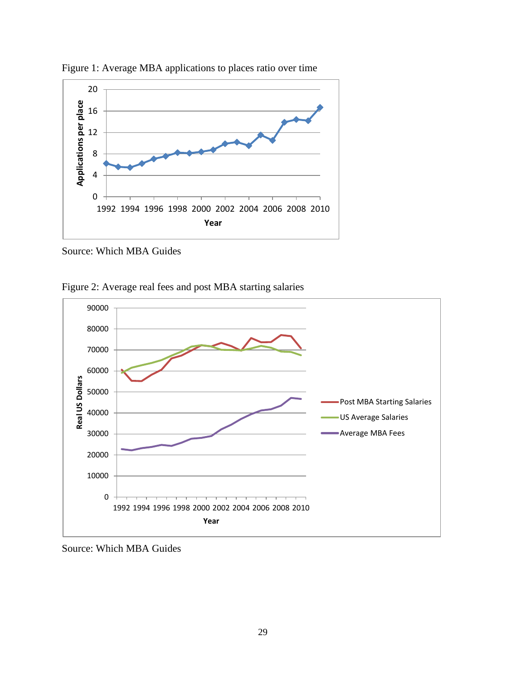

Figure 1: Average MBA applications to places ratio over time

Source: Which MBA Guides

Figure 2: Average real fees and post MBA starting salaries



Source: Which MBA Guides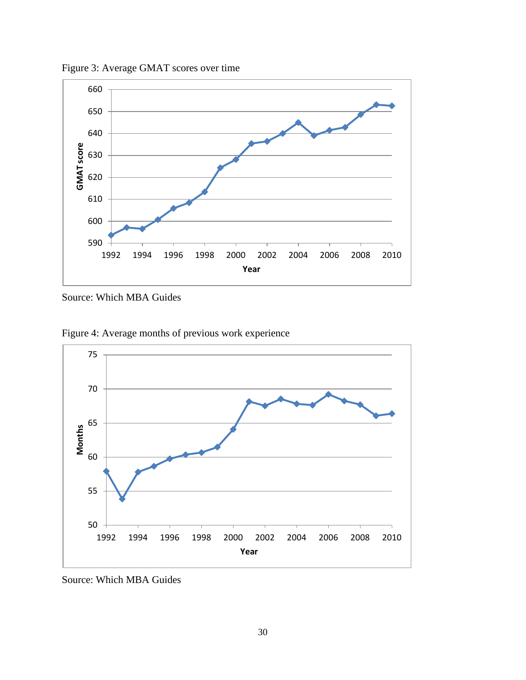Figure 3: Average GMAT scores over time



Source: Which MBA Guides





Source: Which MBA Guides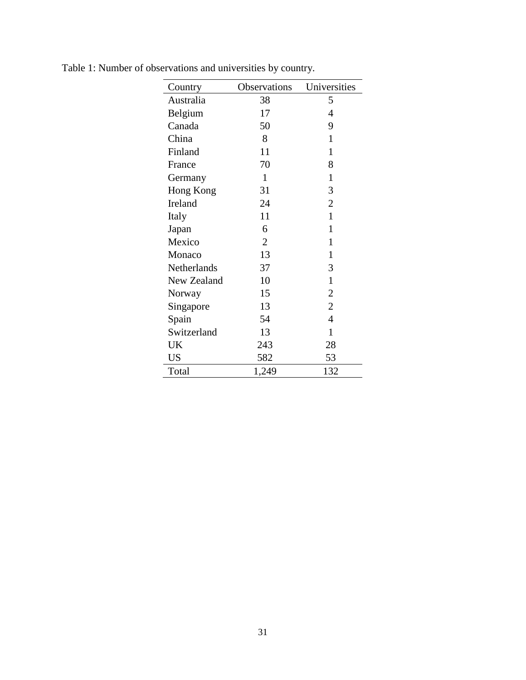| Country     | Observations   | Universities   |
|-------------|----------------|----------------|
| Australia   | 38             | 5              |
| Belgium     | 17             | 4              |
| Canada      | 50             | 9              |
| China       | 8              | 1              |
| Finland     | 11             | $\mathbf{1}$   |
| France      | 70             | 8              |
| Germany     | $\mathbf{1}$   | $\mathbf{1}$   |
| Hong Kong   | 31             | 3              |
| Ireland     | 24             | $\overline{2}$ |
| Italy       | 11             | $\mathbf{1}$   |
| Japan       | 6              | $\mathbf{1}$   |
| Mexico      | $\overline{2}$ | 1              |
| Monaco      | 13             | 1              |
| Netherlands | 37             | 3              |
| New Zealand | 10             | $\mathbf{1}$   |
| Norway      | 15             | $\overline{2}$ |
| Singapore   | 13             | $\overline{2}$ |
| Spain       | 54             | $\overline{4}$ |
| Switzerland | 13             | $\mathbf{1}$   |
| UK          | 243            | 28             |
| <b>US</b>   | 582            | 53             |
| Total       | 1,249          | 132            |

Table 1: Number of observations and universities by country.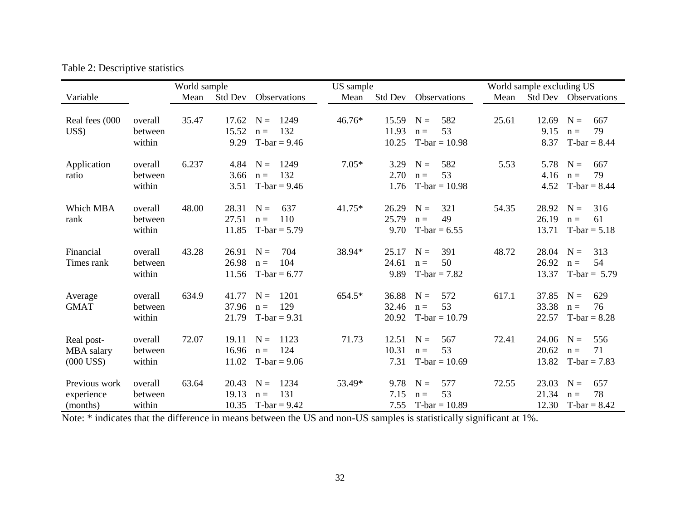| Table 2: Descriptive statistics |  |
|---------------------------------|--|
|---------------------------------|--|

|                |         | World sample |         |                | US sample |                |                 |       | World sample excluding US |                |
|----------------|---------|--------------|---------|----------------|-----------|----------------|-----------------|-------|---------------------------|----------------|
| Variable       |         | Mean         | Std Dev | Observations   | Mean      | <b>Std Dev</b> | Observations    | Mean  | Std Dev                   | Observations   |
|                |         |              |         |                |           |                |                 |       |                           |                |
| Real fees (000 | overall | 35.47        | 17.62   | 1249<br>$N =$  | 46.76*    | 15.59          | $N =$<br>582    | 25.61 | 12.69                     | $N =$<br>667   |
| US\$           | between |              | 15.52   | 132<br>$n =$   |           | 11.93          | 53<br>$n =$     |       | 9.15                      | 79<br>$n =$    |
|                | within  |              | 9.29    | $T-bar = 9.46$ |           | 10.25          | $T-bar = 10.98$ |       | 8.37                      | $T-bar = 8.44$ |
|                |         |              |         |                |           |                |                 |       |                           |                |
| Application    | overall | 6.237        | 4.84    | 1249<br>$N =$  | $7.05*$   | 3.29           | 582<br>$N =$    | 5.53  | 5.78                      | $N =$<br>667   |
| ratio          | between |              | 3.66    | 132<br>$n =$   |           | 2.70           | 53<br>$n =$     |       | 4.16                      | 79<br>$n =$    |
|                | within  |              | 3.51    | $T-bar = 9.46$ |           | 1.76           | $T-bar = 10.98$ |       | 4.52                      | $T-bar = 8.44$ |
|                |         |              |         |                |           |                |                 |       |                           |                |
| Which MBA      | overall | 48.00        | 28.31   | 637<br>$N =$   | $41.75*$  | 26.29          | $N =$<br>321    | 54.35 | 28.92                     | $N =$<br>316   |
| rank           | between |              | 27.51   | 110<br>$n =$   |           | 25.79          | 49<br>$n =$     |       | 26.19                     | 61<br>$n =$    |
|                | within  |              | 11.85   | $T-bar = 5.79$ |           | 9.70           | $T-bar = 6.55$  |       | 13.71                     | $T-bar = 5.18$ |
| Financial      | overall | 43.28        | 26.91   | $N =$<br>704   | 38.94*    | 25.17          | $N =$<br>391    | 48.72 | 28.04                     | $N =$<br>313   |
| Times rank     | between |              | 26.98   | 104<br>$n =$   |           | 24.61          | 50<br>$n =$     |       | 26.92                     | 54<br>$n =$    |
|                | within  |              | 11.56   | $T-bar = 6.77$ |           | 9.89           | $T-bar = 7.82$  |       | 13.37                     | T-bar = $5.79$ |
|                |         |              |         |                |           |                |                 |       |                           |                |
| Average        | overall | 634.9        | 41.77   | $N =$<br>1201  | 654.5*    | 36.88          | $N =$<br>572    | 617.1 | 37.85                     | $N =$<br>629   |
| <b>GMAT</b>    | between |              | 37.96   | 129<br>$n =$   |           | 32.46          | 53<br>$n =$     |       | 33.38                     | 76<br>$n =$    |
|                | within  |              | 21.79   | $T-bar = 9.31$ |           | 20.92          | $T-bar = 10.79$ |       | 22.57                     | $T-bar = 8.28$ |
|                |         |              |         |                |           |                |                 |       |                           |                |
| Real post-     | overall | 72.07        | 19.11   | $N =$<br>1123  | 71.73     | 12.51          | $N =$<br>567    | 72.41 | 24.06                     | $N =$<br>556   |
| MBA salary     | between |              | 16.96   | 124<br>$n =$   |           | 10.31          | 53<br>$n =$     |       | 20.62                     | 71<br>$n =$    |
| $(000$ US\$)   | within  |              | 11.02   | $T-bar = 9.06$ |           | 7.31           | $T-bar = 10.69$ |       | 13.82                     | $T-bar = 7.83$ |
|                |         |              |         |                |           |                |                 |       |                           |                |
| Previous work  | overall | 63.64        | 20.43   | 1234<br>$N =$  | 53.49*    | 9.78           | 577<br>$N =$    | 72.55 | 23.03                     | $N =$<br>657   |
| experience     | between |              | 19.13   | 131<br>$n =$   |           | 7.15           | 53<br>$n =$     |       | 21.34                     | 78<br>$n =$    |
| (months)       | within  |              | 10.35   | $T-bar = 9.42$ |           | 7.55           | $T-bar = 10.89$ |       | 12.30                     | $T-bar = 8.42$ |

Note: \* indicates that the difference in means between the US and non-US samples is statistically significant at 1%.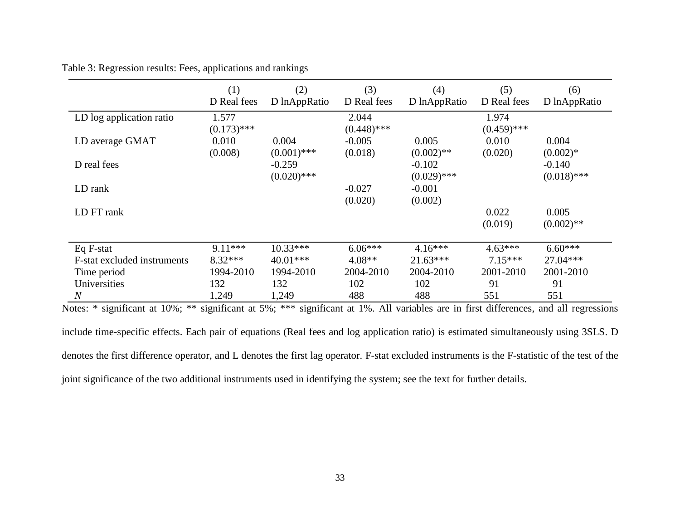|  |  | Table 3: Regression results: Fees, applications and rankings |  |
|--|--|--------------------------------------------------------------|--|
|  |  |                                                              |  |

|                             | (1)<br>D Real fees | (2)<br>D lnAppRatio | (3)<br>D Real fees | (4)<br>D lnAppRatio | (5)<br>D Real fees | (6)<br>D lnAppRatio |
|-----------------------------|--------------------|---------------------|--------------------|---------------------|--------------------|---------------------|
| LD log application ratio    | 1.577              |                     | 2.044              |                     | 1.974              |                     |
|                             | $(0.173)$ ***      |                     | $(0.448)$ ***      |                     | $(0.459)$ ***      |                     |
| LD average GMAT             | 0.010              | 0.004               | $-0.005$           | 0.005               | 0.010              | 0.004               |
|                             | (0.008)            | $(0.001)$ ***       | (0.018)            | $(0.002)$ **        | (0.020)            | $(0.002)*$          |
| D real fees                 |                    | $-0.259$            |                    | $-0.102$            |                    | $-0.140$            |
|                             |                    | $(0.020)$ ***       |                    | $(0.029)$ ***       |                    | $(0.018)$ ***       |
| LD rank                     |                    |                     | $-0.027$           | $-0.001$            |                    |                     |
|                             |                    |                     | (0.020)            | (0.002)             |                    |                     |
| LD FT rank                  |                    |                     |                    |                     | 0.022              | 0.005               |
|                             |                    |                     |                    |                     | (0.019)            | $(0.002)$ **        |
|                             |                    |                     |                    |                     |                    |                     |
| Eq F-stat                   | $9.11***$          | $10.33***$          | $6.06***$          | $4.16***$           | $4.63***$          | $6.60***$           |
| F-stat excluded instruments | $8.32***$          | 40.01***            | $4.08**$           | $21.63***$          | $7.15***$          | 27.04***            |
| Time period                 | 1994-2010          | 1994-2010           | 2004-2010          | 2004-2010           | 2001-2010          | 2001-2010           |
| Universities                | 132                | 132                 | 102                | 102                 | 91                 | 91                  |
| $\overline{N}$              | 1,249              | 1,249               | 488                | 488                 | 551                | 551                 |

Notes: \* significant at 10%; \*\* significant at 5%; \*\*\* significant at 1%. All variables are in first differences, and all regressions

include time-specific effects. Each pair of equations (Real fees and log application ratio) is estimated simultaneously using 3SLS. D denotes the first difference operator, and L denotes the first lag operator. F-stat excluded instruments is the F-statistic of the test of the joint significance of the two additional instruments used in identifying the system; see the text for further details.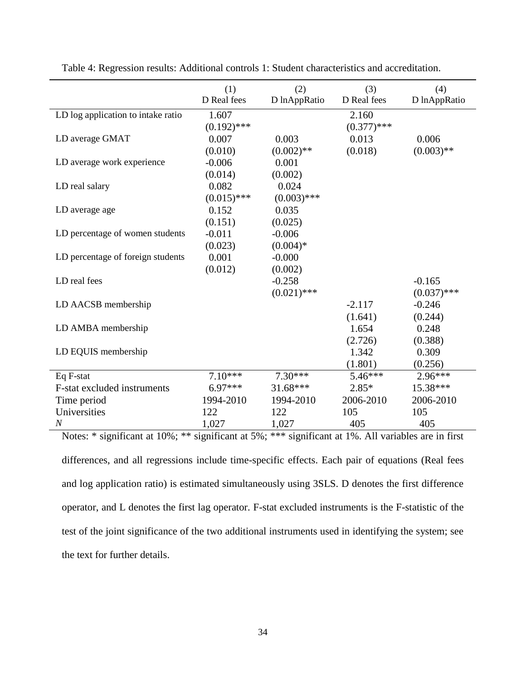|                                    | (1)<br>D Real fees | (2)<br>D lnAppRatio | (3)<br>D Real fees | (4)<br>D lnAppRatio |
|------------------------------------|--------------------|---------------------|--------------------|---------------------|
| LD log application to intake ratio | 1.607              |                     | 2.160              |                     |
|                                    | $(0.192)$ ***      |                     | $(0.377)$ ***      |                     |
| LD average GMAT                    | 0.007              | 0.003               | 0.013              | 0.006               |
|                                    | (0.010)            | $(0.002)$ **        | (0.018)            | $(0.003)$ **        |
| LD average work experience         | $-0.006$           | 0.001               |                    |                     |
|                                    | (0.014)            | (0.002)             |                    |                     |
| LD real salary                     | 0.082              | 0.024               |                    |                     |
|                                    | $(0.015)$ ***      | $(0.003)$ ***       |                    |                     |
| LD average age                     | 0.152              | 0.035               |                    |                     |
|                                    | (0.151)            | (0.025)             |                    |                     |
| LD percentage of women students    | $-0.011$           | $-0.006$            |                    |                     |
|                                    | (0.023)            | $(0.004)*$          |                    |                     |
| LD percentage of foreign students  | 0.001              | $-0.000$            |                    |                     |
|                                    | (0.012)            | (0.002)             |                    |                     |
| LD real fees                       |                    | $-0.258$            |                    | $-0.165$            |
|                                    |                    | $(0.021)$ ***       |                    | $(0.037)$ ***       |
| LD AACSB membership                |                    |                     | $-2.117$           | $-0.246$            |
|                                    |                    |                     | (1.641)            | (0.244)             |
| LD AMBA membership                 |                    |                     | 1.654              | 0.248               |
|                                    |                    |                     | (2.726)            | (0.388)             |
| LD EQUIS membership                |                    |                     | 1.342              | 0.309               |
|                                    |                    |                     | (1.801)            | (0.256)             |
| Eq F-stat                          | $7.10***$          | $7.30***$           | $5.46***$          | $2.96***$           |
| F-stat excluded instruments        | $6.97***$          | $31.68***$          | $2.85*$            | 15.38***            |
| Time period                        | 1994-2010          | 1994-2010           | 2006-2010          | 2006-2010           |
| Universities                       | 122                | 122                 | 105                | 105                 |
| $\cal N$                           | 1,027              | 1,027               | 405                | 405                 |

Table 4: Regression results: Additional controls 1: Student characteristics and accreditation.

Notes: \* significant at 10%; \*\* significant at 5%; \*\*\* significant at 1%. All variables are in first differences, and all regressions include time-specific effects. Each pair of equations (Real fees and log application ratio) is estimated simultaneously using 3SLS. D denotes the first difference operator, and L denotes the first lag operator. F-stat excluded instruments is the F-statistic of the test of the joint significance of the two additional instruments used in identifying the system; see the text for further details.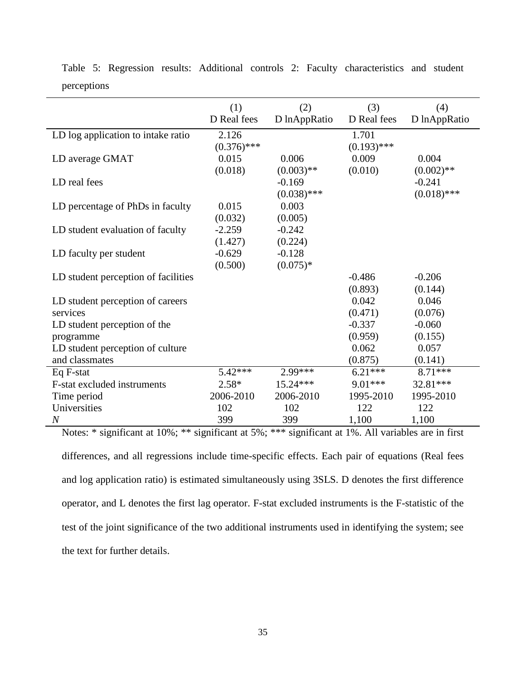|                                     | (1)           | (2)           | (3)           | (4)           |
|-------------------------------------|---------------|---------------|---------------|---------------|
|                                     | D Real fees   | D lnAppRatio  | D Real fees   | D lnAppRatio  |
| LD log application to intake ratio  | 2.126         |               | 1.701         |               |
|                                     | $(0.376)$ *** |               | $(0.193)$ *** |               |
| LD average GMAT                     | 0.015         | 0.006         | 0.009         | 0.004         |
|                                     | (0.018)       | $(0.003)$ **  | (0.010)       | $(0.002)$ **  |
| LD real fees                        |               | $-0.169$      |               | $-0.241$      |
|                                     |               | $(0.038)$ *** |               | $(0.018)$ *** |
| LD percentage of PhDs in faculty    | 0.015         | 0.003         |               |               |
|                                     | (0.032)       | (0.005)       |               |               |
| LD student evaluation of faculty    | $-2.259$      | $-0.242$      |               |               |
|                                     | (1.427)       | (0.224)       |               |               |
| LD faculty per student              | $-0.629$      | $-0.128$      |               |               |
|                                     | (0.500)       | $(0.075)*$    |               |               |
| LD student perception of facilities |               |               | $-0.486$      | $-0.206$      |
|                                     |               |               | (0.893)       | (0.144)       |
| LD student perception of careers    |               |               | 0.042         | 0.046         |
| services                            |               |               | (0.471)       | (0.076)       |
| LD student perception of the        |               |               | $-0.337$      | $-0.060$      |
| programme                           |               |               | (0.959)       | (0.155)       |
| LD student perception of culture    |               |               | 0.062         | 0.057         |
| and classmates                      |               |               | (0.875)       | (0.141)       |
| Eq F-stat                           | $5.42***$     | $2.99***$     | $6.21***$     | $8.71***$     |
| F-stat excluded instruments         | $2.58*$       | 15.24 ***     | 9.01***       | 32.81***      |
| Time period                         | 2006-2010     | 2006-2010     | 1995-2010     | 1995-2010     |
| Universities                        | 102           | 102           | 122           | 122           |
| $\boldsymbol{N}$                    | 399           | 399           | 1,100         | 1,100         |

Table 5: Regression results: Additional controls 2: Faculty characteristics and student perceptions

Notes: \* significant at 10%; \*\* significant at 5%; \*\*\* significant at 1%. All variables are in first differences, and all regressions include time-specific effects. Each pair of equations (Real fees and log application ratio) is estimated simultaneously using 3SLS. D denotes the first difference operator, and L denotes the first lag operator. F-stat excluded instruments is the F-statistic of the test of the joint significance of the two additional instruments used in identifying the system; see the text for further details.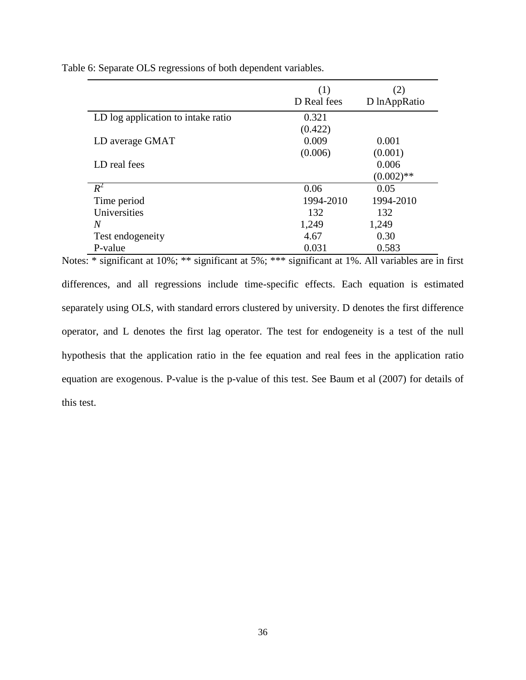Table 6: Separate OLS regressions of both dependent variables.

|                                    | (1)         |              |
|------------------------------------|-------------|--------------|
|                                    | D Real fees | D lnAppRatio |
| LD log application to intake ratio | 0.321       |              |
|                                    | (0.422)     |              |
| LD average GMAT                    | 0.009       | 0.001        |
|                                    | (0.006)     | (0.001)      |
| LD real fees                       |             | 0.006        |
|                                    |             | $(0.002)$ ** |
| $R^2$                              | 0.06        | 0.05         |
| Time period                        | 1994-2010   | 1994-2010    |
| Universities                       | 132         | 132          |
| N                                  | 1,249       | 1,249        |
| Test endogeneity                   | 4.67        | 0.30         |
| P-value                            | 0.031       | 0.583        |

Notes: \* significant at 10%; \*\* significant at 5%; \*\*\* significant at 1%. All variables are in first differences, and all regressions include time-specific effects. Each equation is estimated separately using OLS, with standard errors clustered by university. D denotes the first difference operator, and L denotes the first lag operator. The test for endogeneity is a test of the null hypothesis that the application ratio in the fee equation and real fees in the application ratio equation are exogenous. P-value is the p-value of this test. See Baum et al (2007) for details of this test.